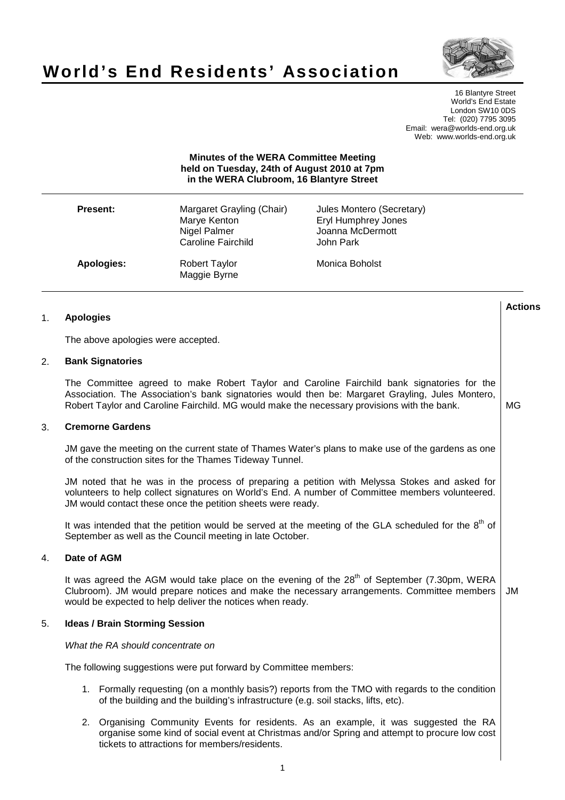



16 Blantyre Street World's End Estate London SW10 0DS Tel: (020) 7795 3095 Email: wera@worlds-end.org.uk Web: www.worlds-end.org.uk

## **Minutes of the WERA Committee Meeting held on Tuesday, 24th of August 2010 at 7pm in the WERA Clubroom, 16 Blantyre Street**

| <b>Present:</b> | Margaret Grayling (Chair)<br>Marye Kenton<br>Nigel Palmer<br>Caroline Fairchild | Jules Montero (Secretary)<br>Eryl Humphrey Jones<br>Joanna McDermott<br>John Park |  |
|-----------------|---------------------------------------------------------------------------------|-----------------------------------------------------------------------------------|--|
| Apologies:      | <b>Robert Taylor</b><br>Maggie Byrne                                            | Monica Boholst                                                                    |  |

**Lactions のことには、このことにより、このことにより、このことになります。 そのことには、このことにより、このことにより、このことになります。 そのことには、このことにより、このことには、このことにより、このことにより、このことにより、このことにより、このことにより、このことにより、このことにより、このことにより、このことにより、このことにより、このことにより、このことにより、このことにより、このことによっていることになっ** 

### 1. **Apologies**

The above apologies were accepted.

#### 2. **Bank Signatories**

The Committee agreed to make Robert Taylor and Caroline Fairchild bank signatories for the Association. The Association's bank signatories would then be: Margaret Grayling, Jules Montero, Robert Taylor and Caroline Fairchild. MG would make the necessary provisions with the bank. MG

### 3. **Cremorne Gardens**

JM gave the meeting on the current state of Thames Water's plans to make use of the gardens as one of the construction sites for the Thames Tideway Tunnel.

JM noted that he was in the process of preparing a petition with Melyssa Stokes and asked for volunteers to help collect signatures on World's End. A number of Committee members volunteered. JM would contact these once the petition sheets were ready.

It was intended that the petition would be served at the meeting of the GLA scheduled for the  $8<sup>th</sup>$  of September as well as the Council meeting in late October.

# 4. **Date of AGM**

It was agreed the AGM would take place on the evening of the  $28<sup>th</sup>$  of September (7.30pm, WERA Clubroom). JM would prepare notices and make the necessary arrangements. Committee members would be expected to help deliver the notices when ready. JM

### 5. **Ideas / Brain Storming Session**

What the RA should concentrate on

The following suggestions were put forward by Committee members:

- 1. Formally requesting (on a monthly basis?) reports from the TMO with regards to the condition of the building and the building's infrastructure (e.g. soil stacks, lifts, etc).
- 2. Organising Community Events for residents. As an example, it was suggested the RA organise some kind of social event at Christmas and/or Spring and attempt to procure low cost tickets to attractions for members/residents.